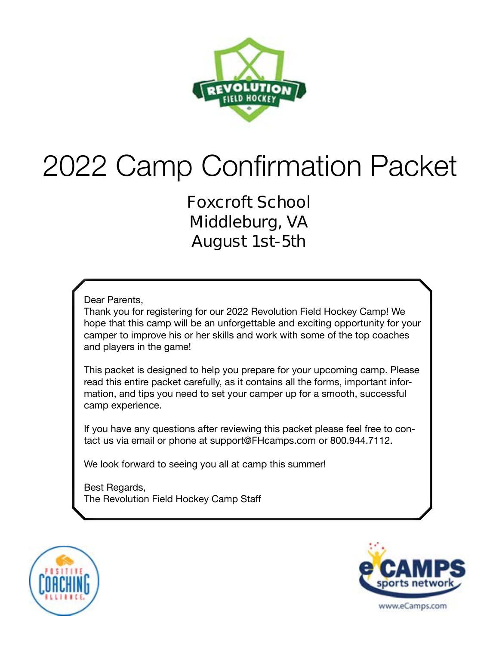

# 2022 Camp Confirmation Packet

**Foxcroft School Middleburg, VA August 1st-5th** 

Dear Parents,

Thank you for registering for our 2022 Revolution Field Hockey Camp! We hope that this camp will be an unforgettable and exciting opportunity for your camper to improve his or her skills and work with some of the top coaches and players in the game!

This packet is designed to help you prepare for your upcoming camp. Please read this entire packet carefully, as it contains all the forms, important information, and tips you need to set your camper up for a smooth, successful camp experience.

If you have any questions after reviewing this packet please feel free to contact us via email or phone at support@FHcamps.com or 800.944.7112.

We look forward to seeing you all at camp this summer!

Best Regards, The Revolution Field Hockey Camp Staff



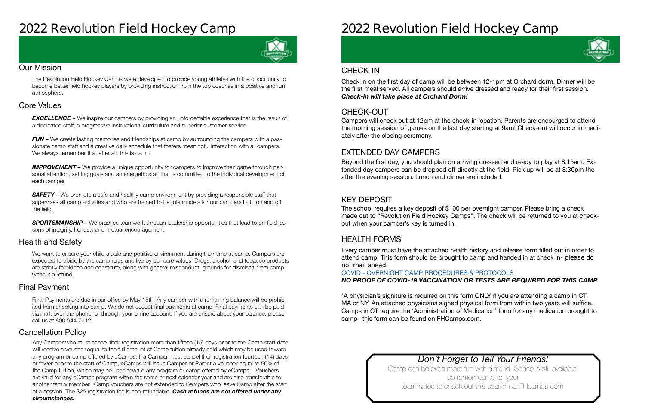### **2022 Revolution Field Hockey Camp**



#### Our Mission

The Revolution Field Hockey Camps were developed to provide young athletes with the opportunity to become better field hockey players by providing instruction from the top coaches in a positive and fun atmosphere.

#### Health and Safety

We want to ensure your child a safe and positive environment during their time at camp. Campers are expected to abide by the camp rules and live by our core values. Drugs, alcohol and tobacco products are strictly forbidden and constitute, along with general misconduct, grounds for dismissal from camp without a refund.

#### Cancellation Policy

#### Final Payment

**EXCELLENCE** – We inspire our campers by providing an unforgettable experience that is the result of a dedicated staff, a progressive instructional curriculum and superior customer service.

*FUN –* We create lasting memories and friendships at camp by surrounding the campers with a passionate camp staff and a creative daily schedule that fosters meaningful interaction with all campers. We always remember that after all, this is camp!

#### Core Values

**IMPROVEMENT** – We provide a unique opportunity for campers to improve their game through personal attention, setting goals and an energetic staff that is committed to the individual development of each camper.

**SAFETY** – We promote a safe and healthy camp environment by providing a responsible staff that supervises all camp activities and who are trained to be role models for our campers both on and off the field.

**SPORTSMANSHIP –** We practice teamwork through leadership opportunities that lead to on-field lessons of integrity, honesty and mutual encouragement.

> Camp can be even more fun with a friend. Space is still available, so remember to tell your teammates to check out this session at FHcamps.com!



Final Payments are due in our office by May 15th. Any camper with a remaining balance will be prohibited from checking into camp. We do not accept final payments at camp. Final payments can be paid via mail, over the phone, or through your online account. If you are unsure about your balance, please call us at 800.944.7112

Any Camper who must cancel their registration more than fifteen (15) days prior to the Camp start date will receive a voucher equal to the full amount of Camp tuition already paid which may be used toward any program or camp offered by eCamps. If a Camper must cancel their registration fourteen (14) days or fewer prior to the start of Camp, eCamps will issue Camper or Parent a voucher equal to 50% of the Camp tuition, which may be used toward any program or camp offered by eCamps. Vouchers are valid for any eCamps program within the same or next calendar year and are also transferable to another family member. Camp vouchers are not extended to Campers who leave Camp after the start of a session. The \$25 registration fee is non-refundable. *Cash refunds are not offered under any circumstances.*

## **2022 Revolution Field Hockey Camp**

### *Don't Forget to Tell Your Friends!*

#### CHECK-OUT

#### EXTENDED DAY CAMPERS

#### KEY DEPOSIT

#### HEALTH FORMS

Campers will check out at 12pm at the check-in location. Parents are encourged to attend the morning session of games on the last day starting at 9am! Check-out will occur immediately after the closing ceremony.

Beyond the first day, you should plan on arriving dressed and ready to play at 8:15am. Extended day campers can be dropped off directly at the field. Pick up will be at 8:30pm the after the evening session. Lunch and dinner are included.

The school requires a key deposit of \$100 per overnight camper. Please bring a check made out to "Revolution Field Hockey Camps". The check will be returned to you at checkout when your camper's key is turned in.

Every camper must have the attached health history and release form filled out in order to attend camp. This form should be brought to camp and handed in at check in- **please do not mail ahead**.

#### COVID - [OVERNIGHT CAMP PROCEDURES & PROTOCOLS](https://laxcamps.com/wp-content/uploads/COVID-19-eCamps-Sports-Network-Guidlines-Overnight-Camp.pdf) *NO PROOF OF COVID-19 VACCINATION OR TESTS ARE REQUIRED FOR THIS CAMP*

\*A physician's signiture is required on this form ONLY if you are attending a camp in CT, MA or NY. An attached physicians signed physical form from within two years will suffice. Camps in CT require the 'Administration of Medication' form for any medication brought to camp--this form can be found on FHCamps.com.

#### CHECK-IN

Check in on the first day of camp will be between 12-1pm at Orchard dorm. Dinner will be the first meal served. All campers should arrive dressed and ready for their first session. *Check-in will take place at Orchard Dorm!*